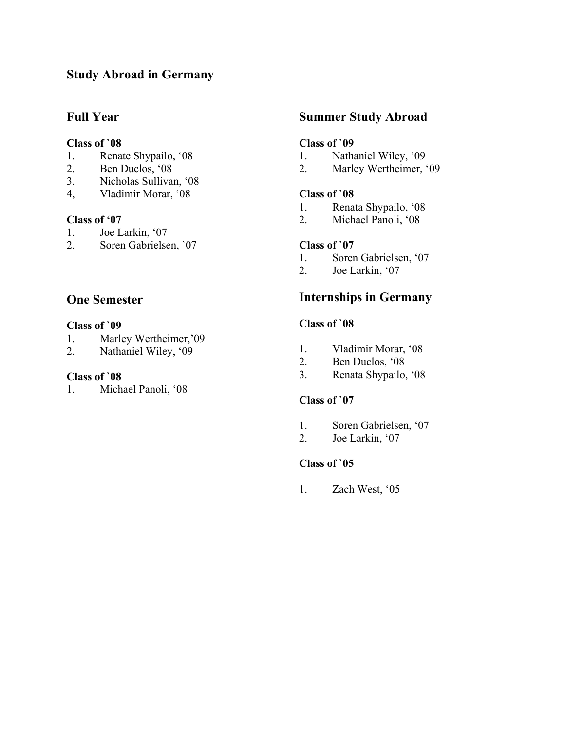# **Study Abroad in Germany**

## **Full Year**

### **Class of `08**

- 1. Renate Shypailo, '08
- 2. Ben Duclos, '08
- 3. Nicholas Sullivan, '08
- 4, Vladimir Morar, '08

### **Class of '07**

- 1. Joe Larkin, '07
- 2. Soren Gabrielsen, `07

## **One Semester**

#### **Class of `09**

- 1. Marley Wertheimer,'09
- 2. Nathaniel Wiley, '09

#### **Class of `08**

1. Michael Panoli, '08

## **Summer Study Abroad**

### **Class of `09**

- 1. Nathaniel Wiley, '09
- 2. Marley Wertheimer, '09

#### **Class of `08**

- 1. Renata Shypailo, '08<br>2. Michael Panoli. '08
- Michael Panoli, '08

#### **Class of `07**

- 1. Soren Gabrielsen, '07
- 2. Joe Larkin, '07

## **Internships in Germany**

#### **Class of `08**

- 1. Vladimir Morar, '08
- 2. Ben Duclos, '08
- 3. Renata Shypailo, '08

#### **Class of `07**

- 1. Soren Gabrielsen, '07
- 2. Joe Larkin, '07

#### **Class of `05**

1. Zach West, '05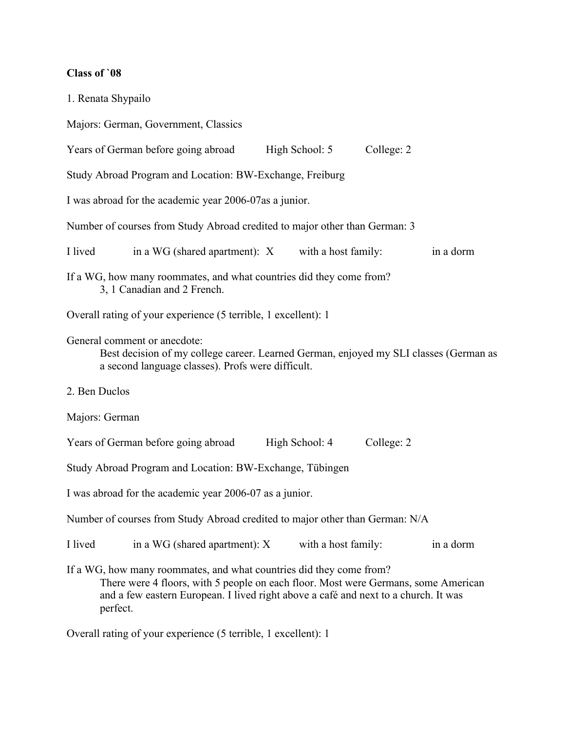# **Class of `08**

|         | 1. Renata Shypailo                                                                                                                                                                                                                                           |                     |            |           |
|---------|--------------------------------------------------------------------------------------------------------------------------------------------------------------------------------------------------------------------------------------------------------------|---------------------|------------|-----------|
|         | Majors: German, Government, Classics                                                                                                                                                                                                                         |                     |            |           |
|         | Years of German before going abroad                                                                                                                                                                                                                          | High School: 5      | College: 2 |           |
|         | Study Abroad Program and Location: BW-Exchange, Freiburg                                                                                                                                                                                                     |                     |            |           |
|         | I was abroad for the academic year 2006-07as a junior.                                                                                                                                                                                                       |                     |            |           |
|         | Number of courses from Study Abroad credited to major other than German: 3                                                                                                                                                                                   |                     |            |           |
| I lived | in a WG (shared apartment): X                                                                                                                                                                                                                                | with a host family: |            | in a dorm |
|         | If a WG, how many roommates, and what countries did they come from?<br>3, 1 Canadian and 2 French.                                                                                                                                                           |                     |            |           |
|         | Overall rating of your experience (5 terrible, 1 excellent): 1                                                                                                                                                                                               |                     |            |           |
|         | General comment or anecdote:<br>Best decision of my college career. Learned German, enjoyed my SLI classes (German as<br>a second language classes). Profs were difficult.                                                                                   |                     |            |           |
|         | 2. Ben Duclos                                                                                                                                                                                                                                                |                     |            |           |
|         | Majors: German                                                                                                                                                                                                                                               |                     |            |           |
|         | Years of German before going abroad                                                                                                                                                                                                                          | High School: 4      | College: 2 |           |
|         | Study Abroad Program and Location: BW-Exchange, Tübingen                                                                                                                                                                                                     |                     |            |           |
|         | I was abroad for the academic year 2006-07 as a junior.                                                                                                                                                                                                      |                     |            |           |
|         | Number of courses from Study Abroad credited to major other than German: N/A                                                                                                                                                                                 |                     |            |           |
| I lived | in a WG (shared apartment): X                                                                                                                                                                                                                                | with a host family: |            | in a dorm |
|         | If a WG, how many roommates, and what countries did they come from?<br>There were 4 floors, with 5 people on each floor. Most were Germans, some American<br>and a few eastern European. I lived right above a café and next to a church. It was<br>perfect. |                     |            |           |

Overall rating of your experience (5 terrible, 1 excellent): 1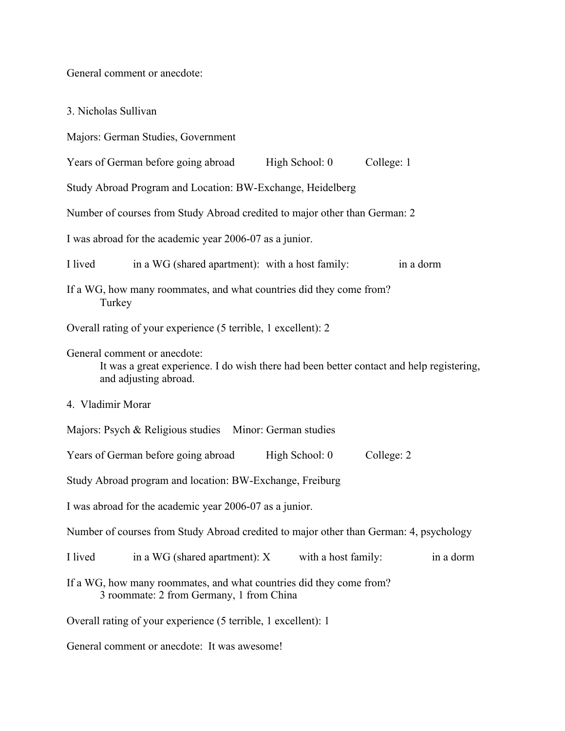General comment or anecdote:

3. Nicholas Sullivan

Majors: German Studies, Government

Years of German before going abroad High School: 0 College: 1

Study Abroad Program and Location: BW-Exchange, Heidelberg

Number of courses from Study Abroad credited to major other than German: 2

I was abroad for the academic year 2006-07 as a junior.

I lived in a WG (shared apartment): with a host family: in a dorm

If a WG, how many roommates, and what countries did they come from? **Turkey** 

Overall rating of your experience (5 terrible, 1 excellent): 2

General comment or anecdote:

It was a great experience. I do wish there had been better contact and help registering, and adjusting abroad.

4. Vladimir Morar

Majors: Psych & Religious studies Minor: German studies

Years of German before going abroad High School: 0 College: 2

Study Abroad program and location: BW-Exchange, Freiburg

I was abroad for the academic year 2006-07 as a junior.

Number of courses from Study Abroad credited to major other than German: 4, psychology

I lived in a WG (shared apartment): X with a host family: in a dorm

If a WG, how many roommates, and what countries did they come from? 3 roommate: 2 from Germany, 1 from China

Overall rating of your experience (5 terrible, 1 excellent): 1

General comment or anecdote: It was awesome!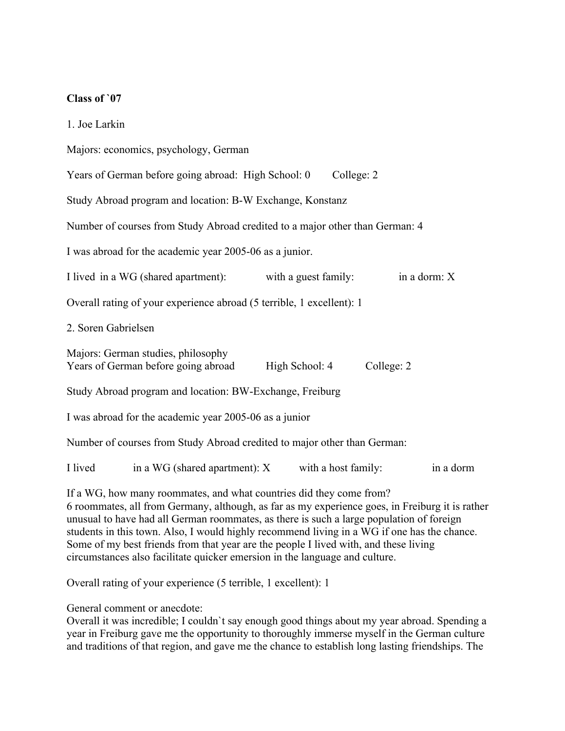### **Class of `07**

| 1. Joe Larkin                                                                                                                                                                                                                                                      |
|--------------------------------------------------------------------------------------------------------------------------------------------------------------------------------------------------------------------------------------------------------------------|
| Majors: economics, psychology, German                                                                                                                                                                                                                              |
| Years of German before going abroad: High School: 0<br>College: 2                                                                                                                                                                                                  |
| Study Abroad program and location: B-W Exchange, Konstanz                                                                                                                                                                                                          |
| Number of courses from Study Abroad credited to a major other than German: 4                                                                                                                                                                                       |
| I was abroad for the academic year 2005-06 as a junior.                                                                                                                                                                                                            |
| I lived in a WG (shared apartment):<br>with a guest family:<br>in a dorm: X                                                                                                                                                                                        |
| Overall rating of your experience abroad (5 terrible, 1 excellent): 1                                                                                                                                                                                              |
| 2. Soren Gabrielsen                                                                                                                                                                                                                                                |
| Majors: German studies, philosophy<br>College: 2<br>Years of German before going abroad<br>High School: 4                                                                                                                                                          |
| Study Abroad program and location: BW-Exchange, Freiburg                                                                                                                                                                                                           |
| I was abroad for the academic year 2005-06 as a junior                                                                                                                                                                                                             |
| Number of courses from Study Abroad credited to major other than German:                                                                                                                                                                                           |
| I lived<br>in a WG (shared apartment): $X$<br>with a host family:<br>in a dorm                                                                                                                                                                                     |
| If a WG, how many roommates, and what countries did they come from?<br>6 roommates, all from Germany, although, as far as my experience goes, in Freiburg it is rather<br>unusual to have had all German roommates, as there is such a large population of foreign |

unusual to have had all German roommates, as there is such a large population of foreign students in this town. Also, I would highly recommend living in a WG if one has the chance. Some of my best friends from that year are the people I lived with, and these living circumstances also facilitate quicker emersion in the language and culture.

Overall rating of your experience (5 terrible, 1 excellent): 1

General comment or anecdote:

Overall it was incredible; I couldn`t say enough good things about my year abroad. Spending a year in Freiburg gave me the opportunity to thoroughly immerse myself in the German culture and traditions of that region, and gave me the chance to establish long lasting friendships. The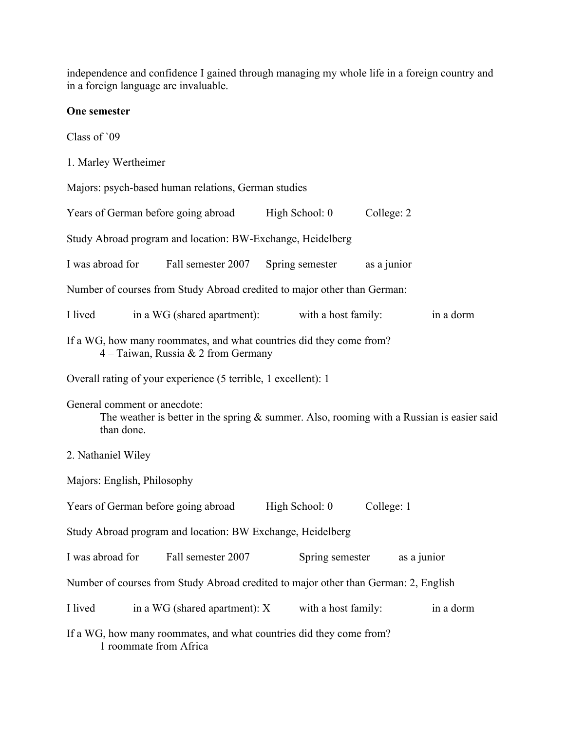independence and confidence I gained through managing my whole life in a foreign country and in a foreign language are invaluable.

## **One semester**

Class of `09

1. Marley Wertheimer

Majors: psych-based human relations, German studies

| Years of German before going abroad                                                                                                        |                                                                | High School: 0                                                                      | College: 2  |           |  |  |  |
|--------------------------------------------------------------------------------------------------------------------------------------------|----------------------------------------------------------------|-------------------------------------------------------------------------------------|-------------|-----------|--|--|--|
| Study Abroad program and location: BW-Exchange, Heidelberg                                                                                 |                                                                |                                                                                     |             |           |  |  |  |
| I was abroad for                                                                                                                           | Fall semester 2007                                             | Spring semester                                                                     | as a junior |           |  |  |  |
|                                                                                                                                            |                                                                | Number of courses from Study Abroad credited to major other than German:            |             |           |  |  |  |
| I lived                                                                                                                                    | in a WG (shared apartment):                                    | with a host family:                                                                 |             | in a dorm |  |  |  |
|                                                                                                                                            | $4 - Taiwan$ , Russia & 2 from Germany                         | If a WG, how many roommates, and what countries did they come from?                 |             |           |  |  |  |
|                                                                                                                                            | Overall rating of your experience (5 terrible, 1 excellent): 1 |                                                                                     |             |           |  |  |  |
| General comment or anecdote:<br>The weather is better in the spring $\&$ summer. Also, rooming with a Russian is easier said<br>than done. |                                                                |                                                                                     |             |           |  |  |  |
| 2. Nathaniel Wiley                                                                                                                         |                                                                |                                                                                     |             |           |  |  |  |
| Majors: English, Philosophy                                                                                                                |                                                                |                                                                                     |             |           |  |  |  |
| Years of German before going abroad                                                                                                        |                                                                | High School: 0                                                                      | College: 1  |           |  |  |  |
|                                                                                                                                            | Study Abroad program and location: BW Exchange, Heidelberg     |                                                                                     |             |           |  |  |  |
| I was abroad for                                                                                                                           | Fall semester 2007                                             | Spring semester                                                                     | as a junior |           |  |  |  |
|                                                                                                                                            |                                                                | Number of courses from Study Abroad credited to major other than German: 2, English |             |           |  |  |  |
| I lived                                                                                                                                    | in a WG (shared apartment): X                                  | with a host family:                                                                 |             | in a dorm |  |  |  |
| If a WG, how many roommates, and what countries did they come from?<br>1 roommate from Africa                                              |                                                                |                                                                                     |             |           |  |  |  |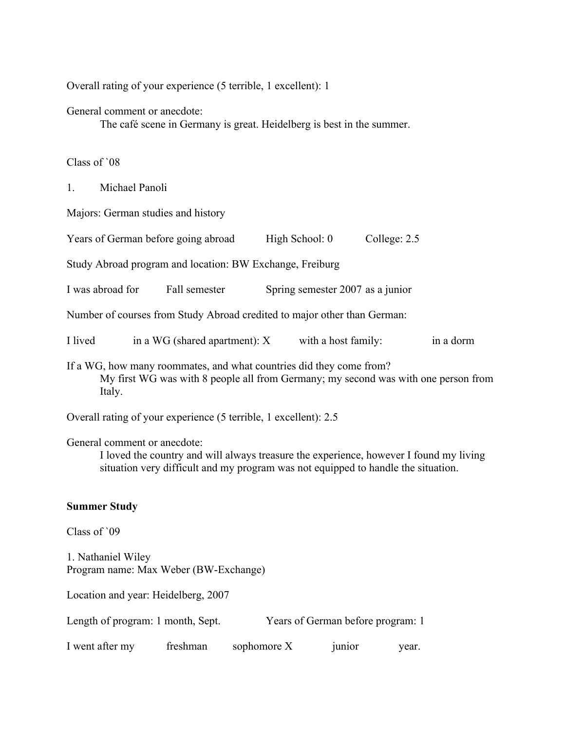Overall rating of your experience (5 terrible, 1 excellent): 1

General comment or anecdote:

The café scene in Germany is great. Heidelberg is best in the summer.

Class of `08

1. Michael Panoli

Majors: German studies and history

Years of German before going abroad High School: 0 College: 2.5

Study Abroad program and location: BW Exchange, Freiburg

I was abroad for Fall semester Spring semester 2007 as a junior

Number of courses from Study Abroad credited to major other than German:

I lived in a WG (shared apartment): X with a host family: in a dorm

If a WG, how many roommates, and what countries did they come from? My first WG was with 8 people all from Germany; my second was with one person from Italy.

Overall rating of your experience (5 terrible, 1 excellent): 2.5

General comment or anecdote:

I loved the country and will always treasure the experience, however I found my living situation very difficult and my program was not equipped to handle the situation.

#### **Summer Study**

Class of `09

1. Nathaniel Wiley Program name: Max Weber (BW-Exchange)

Location and year: Heidelberg, 2007

| Length of program: 1 month, Sept. | Years of German before program: 1 |
|-----------------------------------|-----------------------------------|
|-----------------------------------|-----------------------------------|

I went after my freshman sophomore X junior year.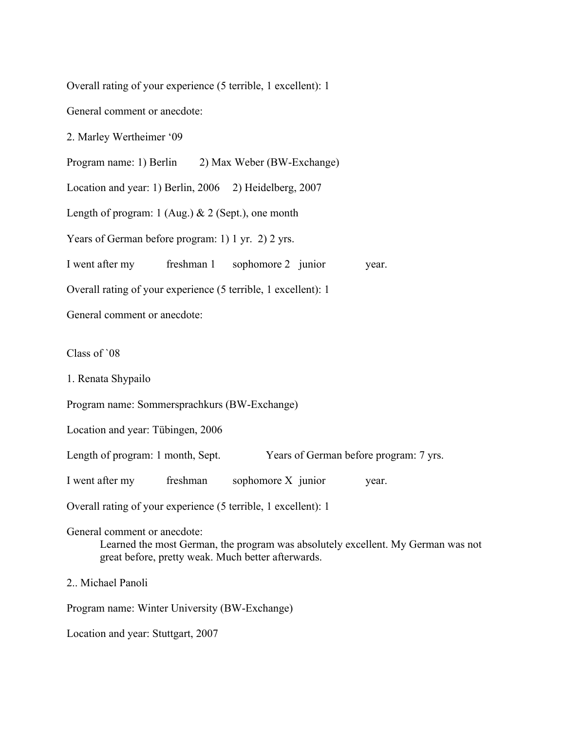Overall rating of your experience (5 terrible, 1 excellent): 1

General comment or anecdote:

2. Marley Wertheimer '09

Program name: 1) Berlin 2) Max Weber (BW-Exchange)

Location and year: 1) Berlin, 2006 2) Heidelberg, 2007

Length of program:  $1$  (Aug.)  $& 2$  (Sept.), one month

Years of German before program: 1) 1 yr. 2) 2 yrs.

I went after my freshman 1 sophomore 2 junior year.

Overall rating of your experience (5 terrible, 1 excellent): 1

General comment or anecdote:

Class of `08

1. Renata Shypailo

Program name: Sommersprachkurs (BW-Exchange)

Location and year: Tübingen, 2006

Length of program: 1 month, Sept. Years of German before program: 7 yrs.

I went after my freshman sophomore X junior year.

Overall rating of your experience (5 terrible, 1 excellent): 1

General comment or anecdote:

Learned the most German, the program was absolutely excellent. My German was not great before, pretty weak. Much better afterwards.

2 Michael Panoli

Program name: Winter University (BW-Exchange)

Location and year: Stuttgart, 2007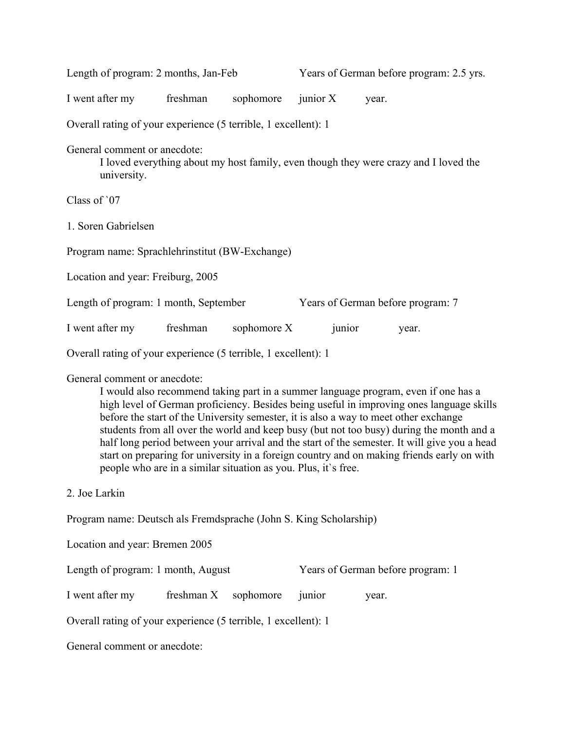| Length of program: 2 months, Jan-Feb                                                                                                                                                                                                                                                                                                                                                                                                                                                                                                                                                                                                                               |            |             |            |                                   | Years of German before program: 2.5 yrs. |  |
|--------------------------------------------------------------------------------------------------------------------------------------------------------------------------------------------------------------------------------------------------------------------------------------------------------------------------------------------------------------------------------------------------------------------------------------------------------------------------------------------------------------------------------------------------------------------------------------------------------------------------------------------------------------------|------------|-------------|------------|-----------------------------------|------------------------------------------|--|
| I went after my                                                                                                                                                                                                                                                                                                                                                                                                                                                                                                                                                                                                                                                    | freshman   | sophomore   | junior $X$ | year.                             |                                          |  |
| Overall rating of your experience (5 terrible, 1 excellent): 1                                                                                                                                                                                                                                                                                                                                                                                                                                                                                                                                                                                                     |            |             |            |                                   |                                          |  |
| General comment or anecdote:<br>I loved everything about my host family, even though they were crazy and I loved the<br>university.                                                                                                                                                                                                                                                                                                                                                                                                                                                                                                                                |            |             |            |                                   |                                          |  |
| Class of '07                                                                                                                                                                                                                                                                                                                                                                                                                                                                                                                                                                                                                                                       |            |             |            |                                   |                                          |  |
| 1. Soren Gabrielsen                                                                                                                                                                                                                                                                                                                                                                                                                                                                                                                                                                                                                                                |            |             |            |                                   |                                          |  |
| Program name: Sprachlehrinstitut (BW-Exchange)                                                                                                                                                                                                                                                                                                                                                                                                                                                                                                                                                                                                                     |            |             |            |                                   |                                          |  |
| Location and year: Freiburg, 2005                                                                                                                                                                                                                                                                                                                                                                                                                                                                                                                                                                                                                                  |            |             |            |                                   |                                          |  |
| Length of program: 1 month, September                                                                                                                                                                                                                                                                                                                                                                                                                                                                                                                                                                                                                              |            |             |            | Years of German before program: 7 |                                          |  |
| I went after my                                                                                                                                                                                                                                                                                                                                                                                                                                                                                                                                                                                                                                                    | freshman   | sophomore X |            | junior                            | year.                                    |  |
| Overall rating of your experience (5 terrible, 1 excellent): 1                                                                                                                                                                                                                                                                                                                                                                                                                                                                                                                                                                                                     |            |             |            |                                   |                                          |  |
| General comment or anecdote:<br>I would also recommend taking part in a summer language program, even if one has a<br>high level of German proficiency. Besides being useful in improving ones language skills<br>before the start of the University semester, it is also a way to meet other exchange<br>students from all over the world and keep busy (but not too busy) during the month and a<br>half long period between your arrival and the start of the semester. It will give you a head<br>start on preparing for university in a foreign country and on making friends early on with<br>people who are in a similar situation as you. Plus, it's free. |            |             |            |                                   |                                          |  |
| 2. Joe Larkin                                                                                                                                                                                                                                                                                                                                                                                                                                                                                                                                                                                                                                                      |            |             |            |                                   |                                          |  |
| Program name: Deutsch als Fremdsprache (John S. King Scholarship)                                                                                                                                                                                                                                                                                                                                                                                                                                                                                                                                                                                                  |            |             |            |                                   |                                          |  |
| Location and year: Bremen 2005                                                                                                                                                                                                                                                                                                                                                                                                                                                                                                                                                                                                                                     |            |             |            |                                   |                                          |  |
| Length of program: 1 month, August                                                                                                                                                                                                                                                                                                                                                                                                                                                                                                                                                                                                                                 |            |             |            | Years of German before program: 1 |                                          |  |
| I went after my                                                                                                                                                                                                                                                                                                                                                                                                                                                                                                                                                                                                                                                    | freshman X | sophomore   | junior     | year.                             |                                          |  |
| Overall rating of your experience (5 terrible, 1 excellent): 1                                                                                                                                                                                                                                                                                                                                                                                                                                                                                                                                                                                                     |            |             |            |                                   |                                          |  |
| General comment or anecdote:                                                                                                                                                                                                                                                                                                                                                                                                                                                                                                                                                                                                                                       |            |             |            |                                   |                                          |  |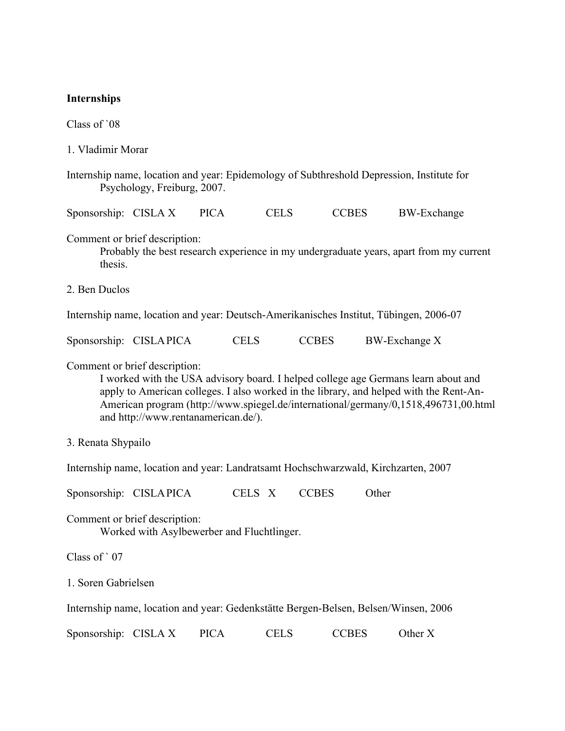#### **Internships**

Class of `08

- 1. Vladimir Morar
- Internship name, location and year: Epidemology of Subthreshold Depression, Institute for Psychology, Freiburg, 2007.
- Sponsorship: CISLA X PICA CELS CCBES BW-Exchange
- Comment or brief description:

Probably the best research experience in my undergraduate years, apart from my current thesis.

2. Ben Duclos

Internship name, location and year: Deutsch-Amerikanisches Institut, Tübingen, 2006-07

| Sponsorship: CISLAPICA |  | <b>CELS</b> | <b>CCBES</b> | <b>BW-Exchange X</b> |
|------------------------|--|-------------|--------------|----------------------|
|------------------------|--|-------------|--------------|----------------------|

Comment or brief description:

I worked with the USA advisory board. I helped college age Germans learn about and apply to American colleges. I also worked in the library, and helped with the Rent-An-American program (http://www.spiegel.de/international/germany/0,1518,496731,00.html and http://www.rentanamerican.de/).

3. Renata Shypailo

Internship name, location and year: Landratsamt Hochschwarzwald, Kirchzarten, 2007

Sponsorship: CISLAPICA CELS X CCBES Other

Comment or brief description: Worked with Asylbewerber and Fluchtlinger.

Class of ` 07

1. Soren Gabrielsen

Internship name, location and year: Gedenkstätte Bergen-Belsen, Belsen/Winsen, 2006

Sponsorship: CISLA X PICA CELS CCBES Other X